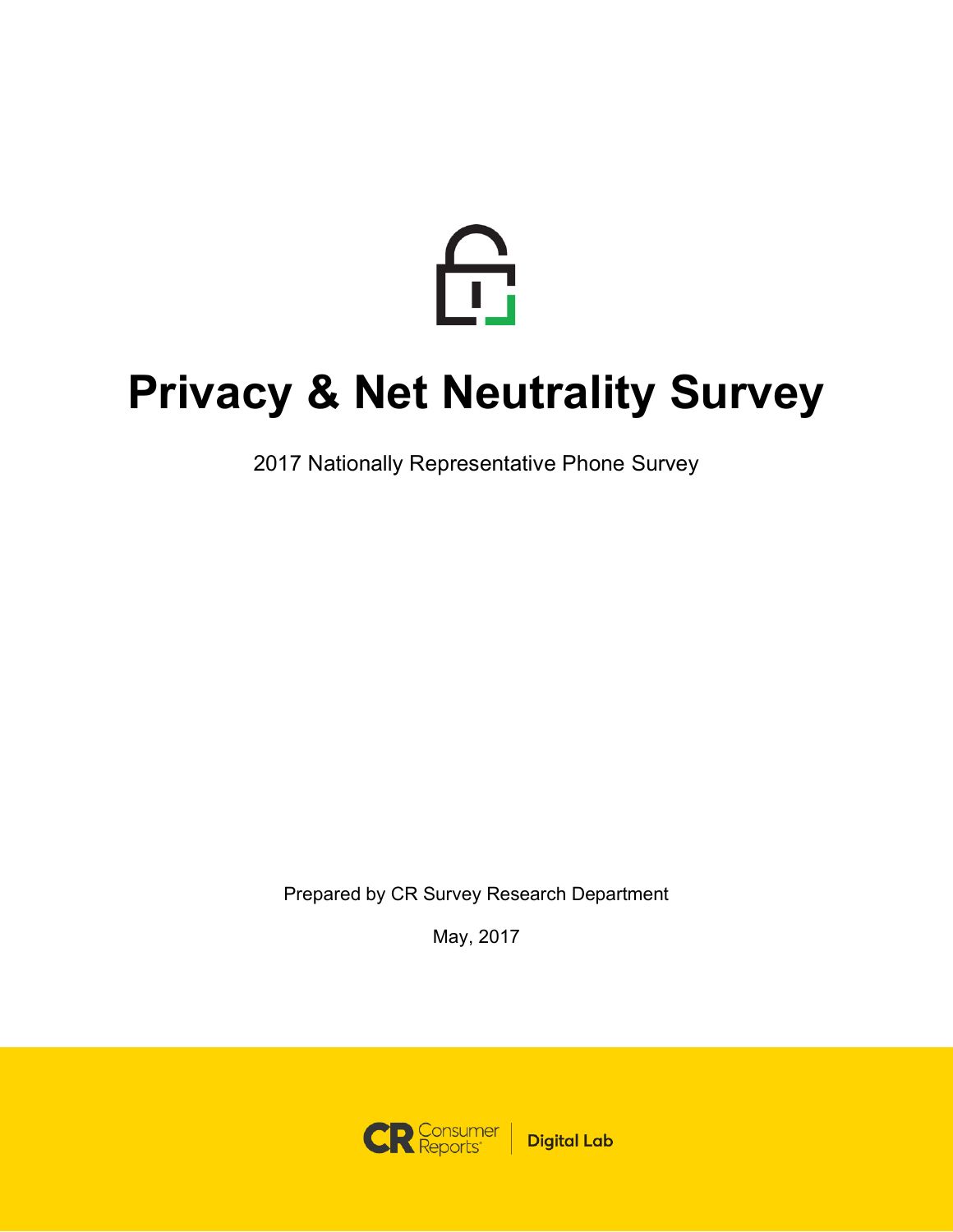

## **Privacy & Net Neutrality Survey**

2017 Nationally Representative Phone Survey

Prepared by CR Survey Research Department

May, 2017

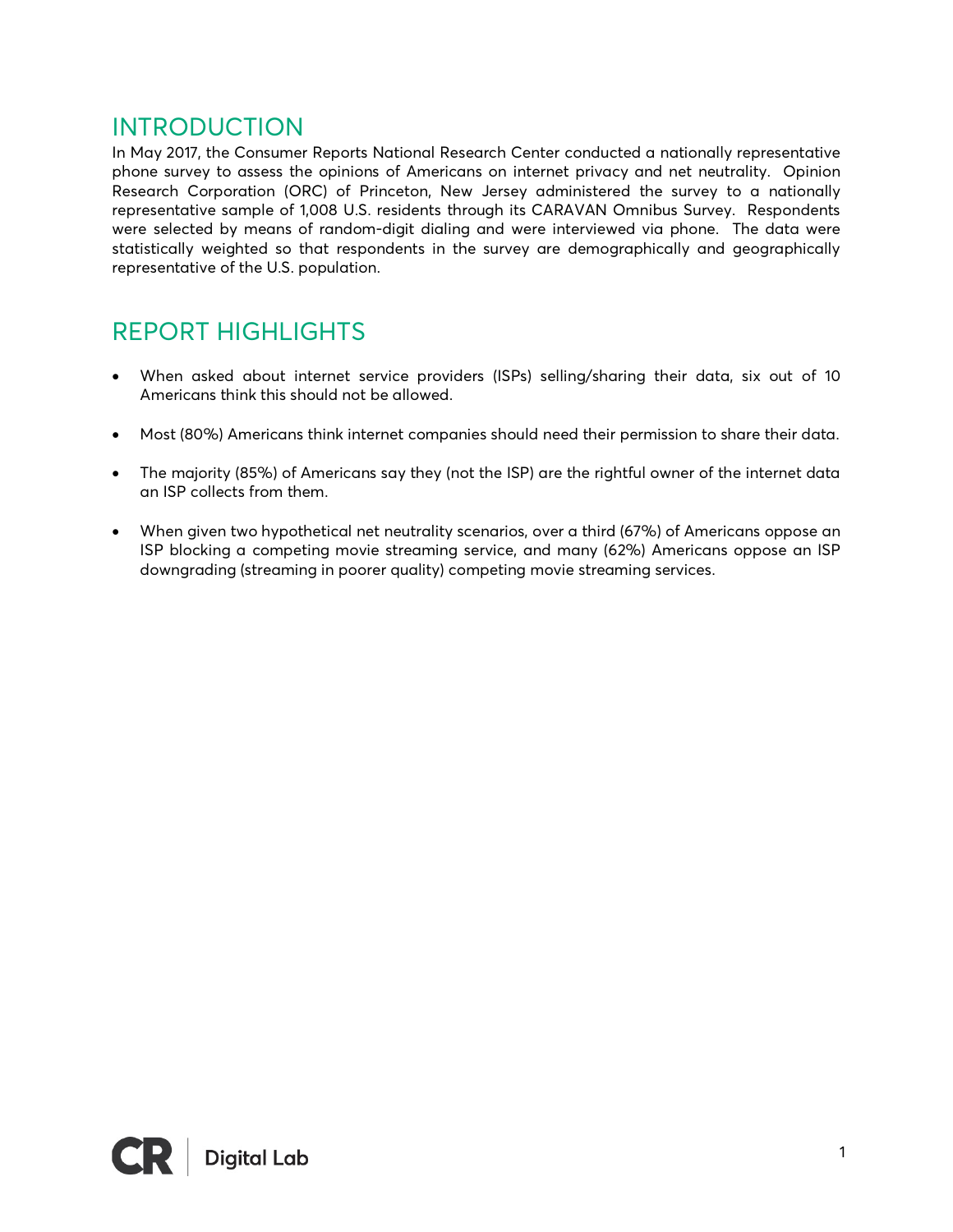### INTRODUCTION

In May 2017, the Consumer Reports National Research Center conducted a nationally representative phone survey to assess the opinions of Americans on internet privacy and net neutrality. Opinion Research Corporation (ORC) of Princeton, New Jersey administered the survey to a nationally representative sample of 1,008 U.S. residents through its CARAVAN Omnibus Survey. Respondents were selected by means of random-digit dialing and were interviewed via phone. The data were statistically weighted so that respondents in the survey are demographically and geographically representative of the U.S. population.

## REPORT HIGHLIGHTS

- When asked about internet service providers (ISPs) selling/sharing their data, six out of 10 Americans think this should not be allowed.
- Most (80%) Americans think internet companies should need their permission to share their data.
- The majority (85%) of Americans say they (not the ISP) are the rightful owner of the internet data an ISP collects from them.
- When given two hypothetical net neutrality scenarios, over a third (67%) of Americans oppose an ISP blocking a competing movie streaming service, and many (62%) Americans oppose an ISP downgrading (streaming in poorer quality) competing movie streaming services.

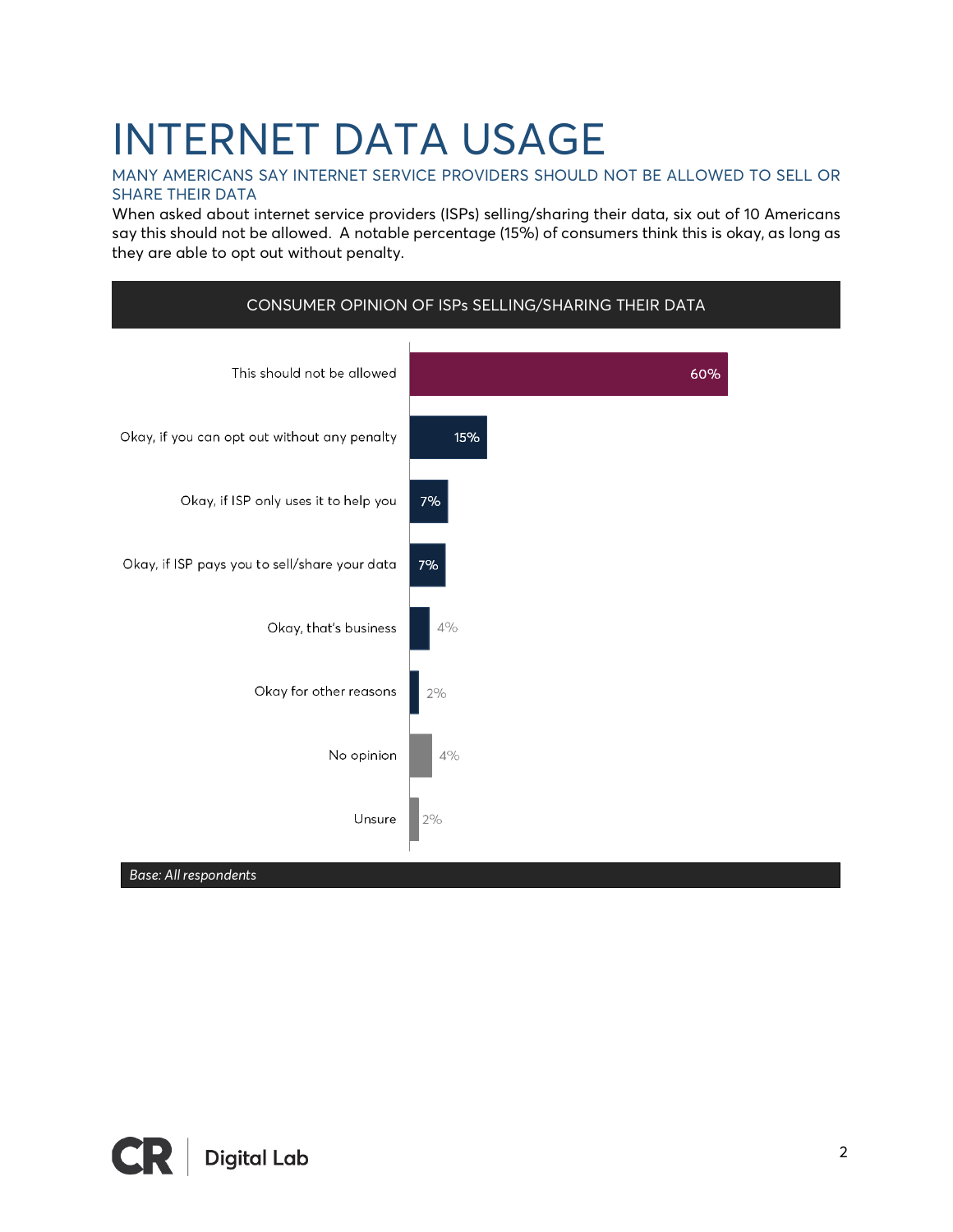# INTERNET DATA USAGE

#### MANY AMERICANS SAY INTERNET SERVICE PROVIDERS SHOULD NOT BE ALLOWED TO SELL OR SHARE THEIR DATA

When asked about internet service providers (ISPs) selling/sharing their data, six out of 10 Americans say this should not be allowed. A notable percentage (15%) of consumers think this is okay, as long as they are able to opt out without penalty.



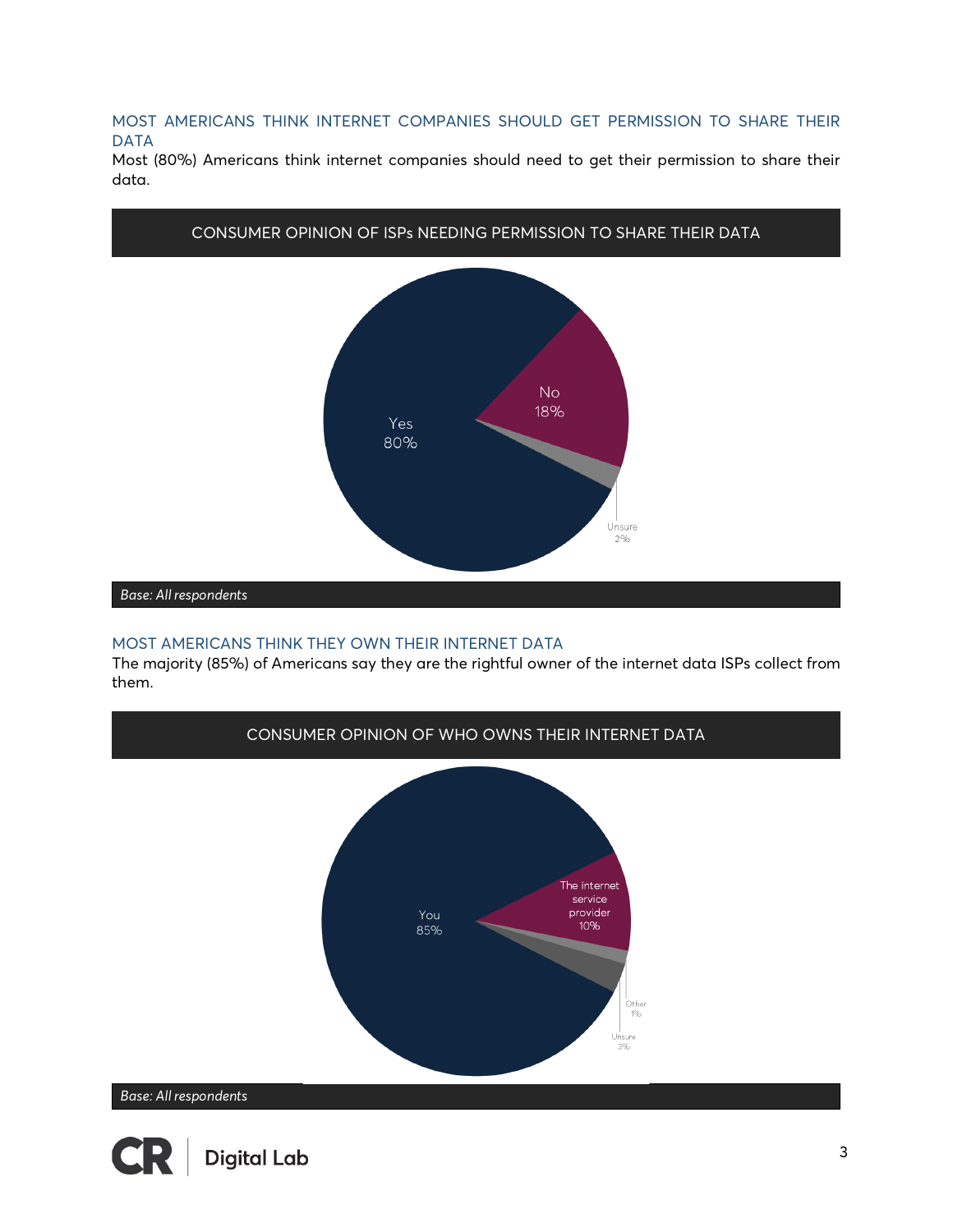MOST AMERICANS THINK INTERNET COMPANIES SHOULD GET PERMISSION TO SHARE THEIR DATA

Most (80%) Americans think internet companies should need to get their permission to share their data.



#### MOST AMERICANS THINK THEY OWN THEIR INTERNET DATA

The majority (85%) of Americans say they are the rightful owner of the internet data ISPs collect from them.

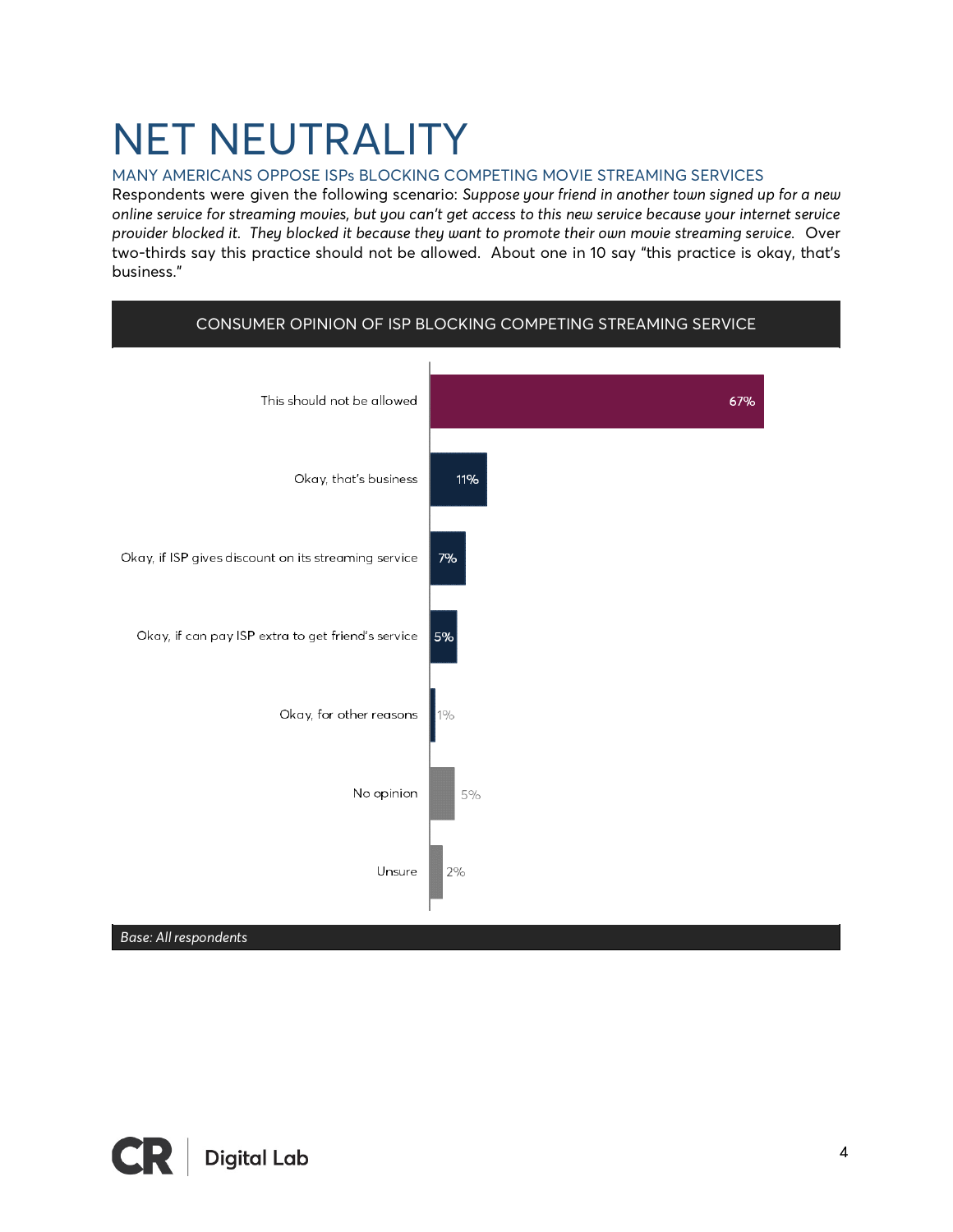# NET NEUTRALITY

#### MANY AMERICANS OPPOSE ISPs BLOCKING COMPETING MOVIE STREAMING SERVICES

Respondents were given the following scenario: *Suppose your friend in another town signed up for a new online service for streaming movies, but you can't get access to this new service because your internet service provider blocked it. They blocked it because they want to promote their own movie streaming service.* Over two-thirds say this practice should not be allowed. About one in 10 say "this practice is okay, that's business."



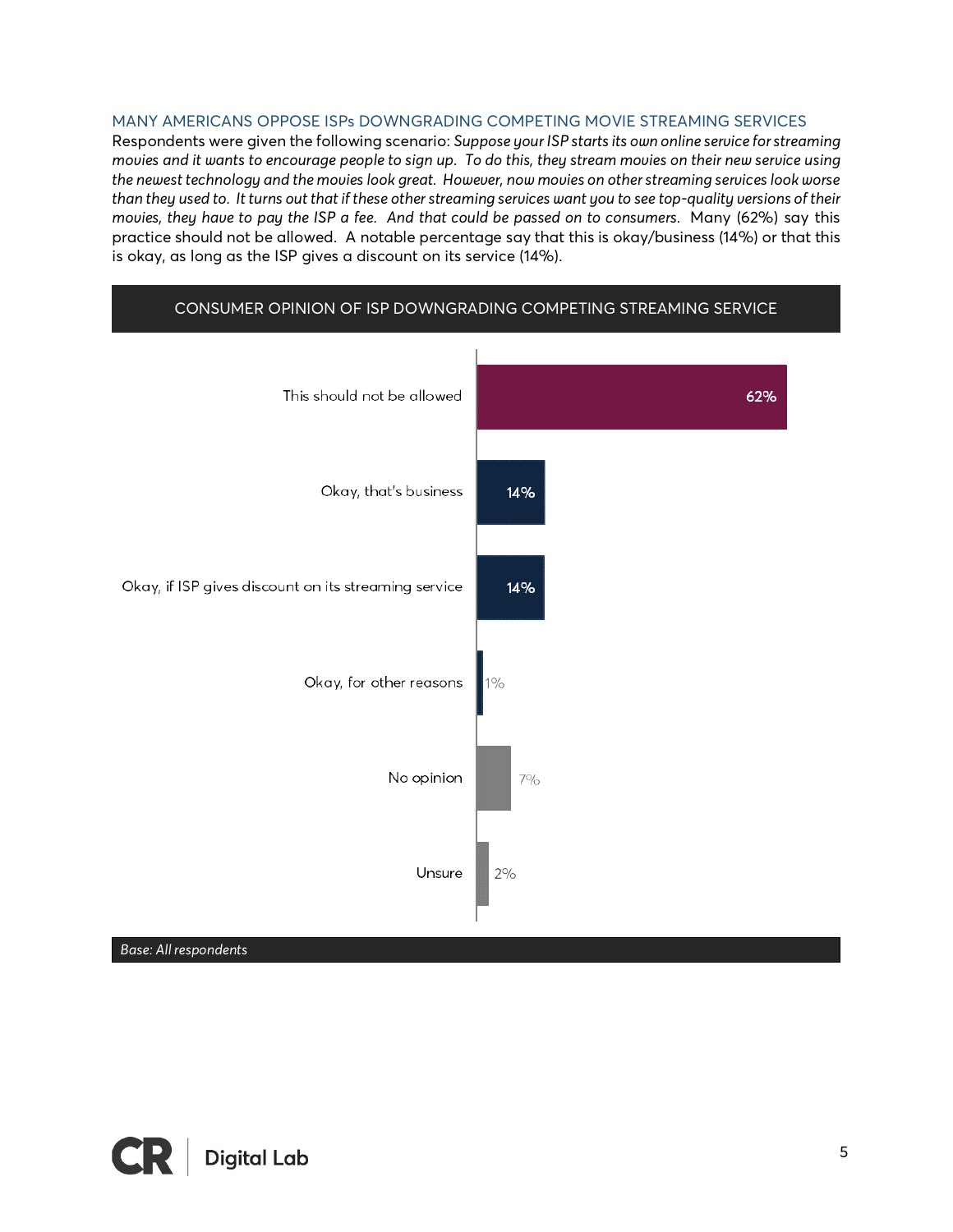#### MANY AMERICANS OPPOSE ISPs DOWNGRADING COMPETING MOVIE STREAMING SERVICES

Respondents were given the following scenario: *Suppose your ISP starts its own online service for streaming movies and it wants to encourage people to sign up. To do this, they stream movies on their new service using the newest technology and the movies look great. However, now movies on other streaming services look worse than they used to. It turns out that if these other streaming services want you to see top-quality versions of their movies, they have to pay the ISP a fee. And that could be passed on to consumers.* Many (62%) say this practice should not be allowed. A notable percentage say that this is okay/business (14%) or that this is okay, as long as the ISP gives a discount on its service (14%).



#### CONSUMER OPINION OF ISP DOWNGRADING COMPETING STREAMING SERVICE